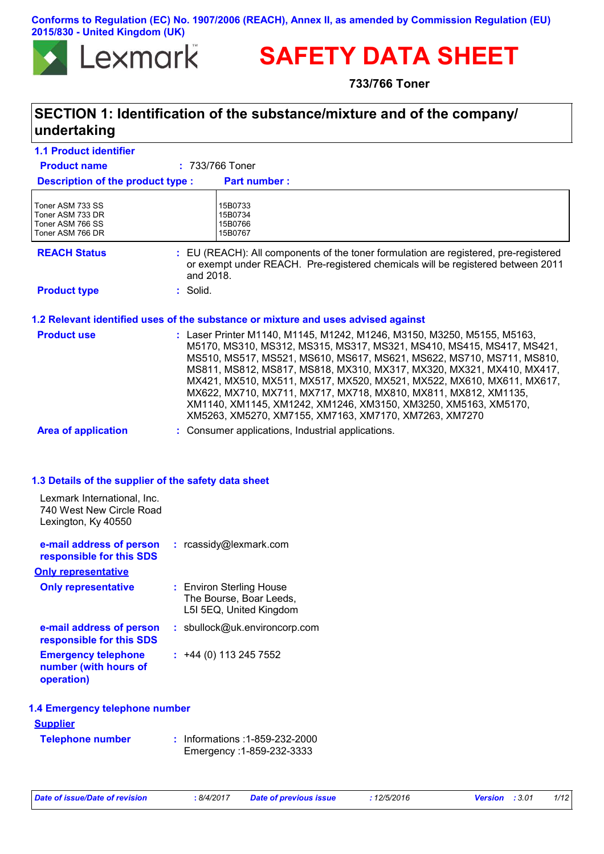**Conforms to Regulation (EC) No. 1907/2006 (REACH), Annex II, as amended by Commission Regulation (EU) 2015/830 - United Kingdom (UK)**



# **SAFETY DATA SHEET**

**733/766 Toner**

### **SECTION 1: Identification of the substance/mixture and of the company/ undertaking**

| <b>1.1 Product identifier</b>                                                                                                          |                                                                                                                                                                                                                                                                                                                                                                                                                                                                                                                                                                             |
|----------------------------------------------------------------------------------------------------------------------------------------|-----------------------------------------------------------------------------------------------------------------------------------------------------------------------------------------------------------------------------------------------------------------------------------------------------------------------------------------------------------------------------------------------------------------------------------------------------------------------------------------------------------------------------------------------------------------------------|
| <b>Product name</b>                                                                                                                    | : 733/766 Toner                                                                                                                                                                                                                                                                                                                                                                                                                                                                                                                                                             |
| Description of the product type :                                                                                                      | <b>Part number:</b>                                                                                                                                                                                                                                                                                                                                                                                                                                                                                                                                                         |
| Toner ASM 733 SS<br>Toner ASM 733 DR<br>Toner ASM 766 SS<br>Toner ASM 766 DR                                                           | 15B0733<br>15B0734<br>15B0766<br>15B0767                                                                                                                                                                                                                                                                                                                                                                                                                                                                                                                                    |
| <b>REACH Status</b>                                                                                                                    | : EU (REACH): All components of the toner formulation are registered, pre-registered<br>or exempt under REACH. Pre-registered chemicals will be registered between 2011<br>and 2018.                                                                                                                                                                                                                                                                                                                                                                                        |
| <b>Product type</b>                                                                                                                    | : Solid.                                                                                                                                                                                                                                                                                                                                                                                                                                                                                                                                                                    |
|                                                                                                                                        | 1.2 Relevant identified uses of the substance or mixture and uses advised against                                                                                                                                                                                                                                                                                                                                                                                                                                                                                           |
| <b>Product use</b>                                                                                                                     | : Laser Printer M1140, M1145, M1242, M1246, M3150, M3250, M5155, M5163,<br>M5170, MS310, MS312, MS315, MS317, MS321, MS410, MS415, MS417, MS421,<br>MS510, MS517, MS521, MS610, MS617, MS621, MS622, MS710, MS711, MS810,<br>MS811, MS812, MS817, MS818, MX310, MX317, MX320, MX321, MX410, MX417,<br>MX421, MX510, MX511, MX517, MX520, MX521, MX522, MX610, MX611, MX617,<br>MX622, MX710, MX711, MX717, MX718, MX810, MX811, MX812, XM1135,<br>XM1140, XM1145, XM1242, XM1246, XM3150, XM3250, XM5163, XM5170,<br>XM5263, XM5270, XM7155, XM7163, XM7170, XM7263, XM7270 |
| <b>Area of application</b>                                                                                                             | : Consumer applications, Industrial applications.                                                                                                                                                                                                                                                                                                                                                                                                                                                                                                                           |
| 1.3 Details of the supplier of the safety data sheet<br>Lexmark International, Inc.<br>740 West New Circle Road<br>Lexington, Ky 40550 |                                                                                                                                                                                                                                                                                                                                                                                                                                                                                                                                                                             |
| e-mail address of person<br>responsible for this SDS                                                                                   | : rcassidy@lexmark.com                                                                                                                                                                                                                                                                                                                                                                                                                                                                                                                                                      |
| <b>Only representative</b>                                                                                                             |                                                                                                                                                                                                                                                                                                                                                                                                                                                                                                                                                                             |
| <b>Only representative</b>                                                                                                             | : Environ Sterling House<br>The Bourse, Boar Leeds,<br>L5I 5EQ, United Kingdom                                                                                                                                                                                                                                                                                                                                                                                                                                                                                              |
| e-mail address of person<br>responsible for this SDS                                                                                   | : sbullock@uk.environcorp.com                                                                                                                                                                                                                                                                                                                                                                                                                                                                                                                                               |
| <b>Emergency telephone</b><br>number (with hours of<br>operation)                                                                      | $: +44(0)1132457552$                                                                                                                                                                                                                                                                                                                                                                                                                                                                                                                                                        |
| 1.4 Emergency telephone number                                                                                                         |                                                                                                                                                                                                                                                                                                                                                                                                                                                                                                                                                                             |
| <b>Supplier</b>                                                                                                                        |                                                                                                                                                                                                                                                                                                                                                                                                                                                                                                                                                                             |
| <b>Telephone number</b>                                                                                                                | Informations : 1-859-232-2000<br>Emergency: 1-859-232-3333                                                                                                                                                                                                                                                                                                                                                                                                                                                                                                                  |
|                                                                                                                                        |                                                                                                                                                                                                                                                                                                                                                                                                                                                                                                                                                                             |

*Date of issue/Date of revision* **:** *8/4/2017 Date of previous issue : 12/5/2016 Version : 3.01 1/12*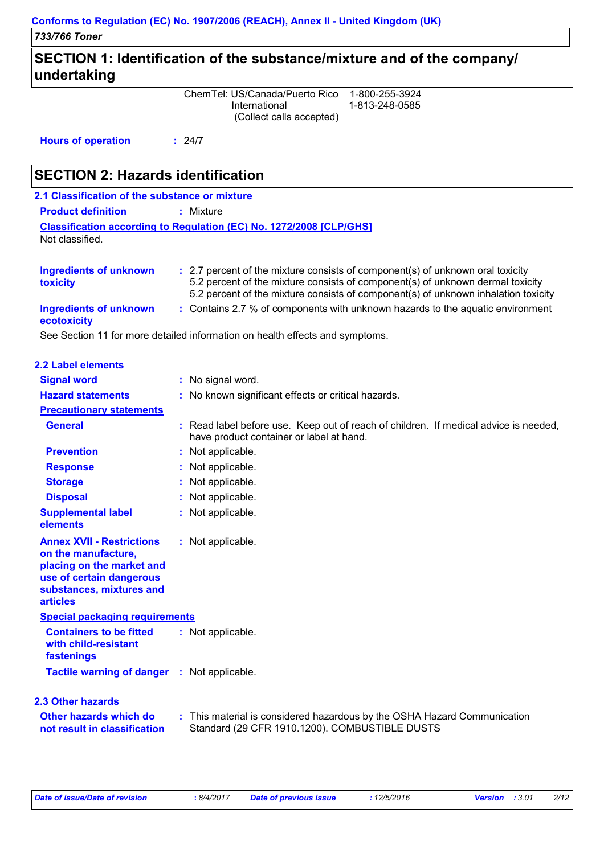## **SECTION 1: Identification of the substance/mixture and of the company/ undertaking**

ChemTel: US/Canada/Puerto Rico 1-800-255-3924 International 1-813-248-0585 (Collect calls accepted)

**Hours of operation :** 24/7

# **SECTION 2: Hazards identification**

| 2.1 Classification of the substance or mixture |                                                                                |
|------------------------------------------------|--------------------------------------------------------------------------------|
| <b>Product definition</b>                      | : Mixture                                                                      |
| Not classified.                                | <b>Classification according to Regulation (EC) No. 1272/2008 [CLP/GHS]</b>     |
| <b>Ingredients of unknown</b>                  | : 2.7 percent of the mixture consists of component(s) of unknown oral toxicity |

| <b>Ingredients of unknown</b><br>toxicity | $\pm$ 2.7 percent of the mixture consists of component(s) of unknown oral toxicity<br>5.2 percent of the mixture consists of component(s) of unknown dermal toxicity<br>5.2 percent of the mixture consists of component(s) of unknown inhalation toxicity |
|-------------------------------------------|------------------------------------------------------------------------------------------------------------------------------------------------------------------------------------------------------------------------------------------------------------|
| Ingredients of unknown<br>ecotoxicity     | : Contains 2.7 % of components with unknown hazards to the aquatic environment                                                                                                                                                                             |
|                                           | . On a Orantzer did from a consistent of the from attention to the affirmed and consistence                                                                                                                                                                |

See Section 11 for more detailed information on health effects and symptoms.

| <b>2.2 Label elements</b>                                                                                                                                       |                                                                                                                                  |
|-----------------------------------------------------------------------------------------------------------------------------------------------------------------|----------------------------------------------------------------------------------------------------------------------------------|
| <b>Signal word</b>                                                                                                                                              | : No signal word.                                                                                                                |
| <b>Hazard statements</b>                                                                                                                                        | : No known significant effects or critical hazards.                                                                              |
| <b>Precautionary statements</b>                                                                                                                                 |                                                                                                                                  |
| <b>General</b>                                                                                                                                                  | : Read label before use. Keep out of reach of children. If medical advice is needed,<br>have product container or label at hand. |
| <b>Prevention</b>                                                                                                                                               | : Not applicable.                                                                                                                |
| <b>Response</b>                                                                                                                                                 | : Not applicable.                                                                                                                |
| <b>Storage</b>                                                                                                                                                  | : Not applicable.                                                                                                                |
| <b>Disposal</b>                                                                                                                                                 | : Not applicable.                                                                                                                |
| <b>Supplemental label</b><br>elements                                                                                                                           | : Not applicable.                                                                                                                |
| <b>Annex XVII - Restrictions</b><br>on the manufacture,<br>placing on the market and<br>use of certain dangerous<br>substances, mixtures and<br><b>articles</b> | : Not applicable.                                                                                                                |
| <b>Special packaging requirements</b>                                                                                                                           |                                                                                                                                  |
| <b>Containers to be fitted</b><br>with child-resistant<br>fastenings                                                                                            | : Not applicable.                                                                                                                |
| Tactile warning of danger : Not applicable.                                                                                                                     |                                                                                                                                  |
| <b>2.3 Other hazards</b>                                                                                                                                        |                                                                                                                                  |
| Other hazards which do<br>not result in classification                                                                                                          | : This material is considered hazardous by the OSHA Hazard Communication<br>Standard (29 CFR 1910.1200). COMBUSTIBLE DUSTS       |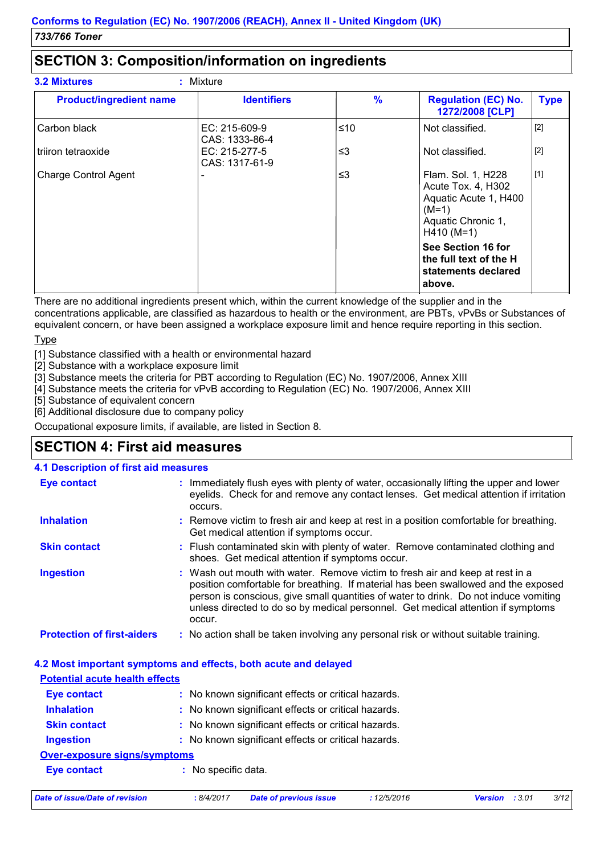### **SECTION 3: Composition/information on ingredients**

| <b>Product/ingredient name</b> | <b>Identifiers</b>                | $\frac{9}{6}$ | <b>Regulation (EC) No.</b><br>1272/2008 [CLP]                                                                      | <b>Type</b> |
|--------------------------------|-----------------------------------|---------------|--------------------------------------------------------------------------------------------------------------------|-------------|
| Carbon black                   | $EC: 215-609-9$<br>CAS: 1333-86-4 | $≤10$         | Not classified.                                                                                                    | $[2]$       |
| triiron tetraoxide             | EC: 215-277-5<br>CAS: 1317-61-9   | $\leq$ 3      | Not classified.                                                                                                    | $[2]$       |
| <b>Charge Control Agent</b>    |                                   | $\leq$ 3      | Flam. Sol. 1, H228<br>Acute Tox. 4, H302<br>Aquatic Acute 1, H400<br>$(M=1)$<br>Aquatic Chronic 1,<br>$H410 (M=1)$ | $[1]$       |
|                                |                                   |               | See Section 16 for<br>the full text of the H<br>statements declared<br>above.                                      |             |

There are no additional ingredients present which, within the current knowledge of the supplier and in the concentrations applicable, are classified as hazardous to health or the environment, are PBTs, vPvBs or Substances of equivalent concern, or have been assigned a workplace exposure limit and hence require reporting in this section.

#### Type

[1] Substance classified with a health or environmental hazard

[2] Substance with a workplace exposure limit

[3] Substance meets the criteria for PBT according to Regulation (EC) No. 1907/2006, Annex XIII

[4] Substance meets the criteria for vPvB according to Regulation (EC) No. 1907/2006, Annex XIII

[5] Substance of equivalent concern

[6] Additional disclosure due to company policy

Occupational exposure limits, if available, are listed in Section 8.

### **SECTION 4: First aid measures**

#### **4.1 Description of first aid measures**

| <b>Eye contact</b>                | : Immediately flush eyes with plenty of water, occasionally lifting the upper and lower<br>eyelids. Check for and remove any contact lenses. Get medical attention if irritation<br>occurs.                                                                                                                                                               |
|-----------------------------------|-----------------------------------------------------------------------------------------------------------------------------------------------------------------------------------------------------------------------------------------------------------------------------------------------------------------------------------------------------------|
| <b>Inhalation</b>                 | : Remove victim to fresh air and keep at rest in a position comfortable for breathing.<br>Get medical attention if symptoms occur.                                                                                                                                                                                                                        |
| <b>Skin contact</b>               | : Flush contaminated skin with plenty of water. Remove contaminated clothing and<br>shoes. Get medical attention if symptoms occur.                                                                                                                                                                                                                       |
| <b>Ingestion</b>                  | : Wash out mouth with water. Remove victim to fresh air and keep at rest in a<br>position comfortable for breathing. If material has been swallowed and the exposed<br>person is conscious, give small quantities of water to drink. Do not induce vomiting<br>unless directed to do so by medical personnel. Get medical attention if symptoms<br>occur. |
| <b>Protection of first-aiders</b> | : No action shall be taken involving any personal risk or without suitable training.                                                                                                                                                                                                                                                                      |

#### **4.2 Most important symptoms and effects, both acute and delayed**

| <u>Potential acute nealth effects</u> |                                                     |  |
|---------------------------------------|-----------------------------------------------------|--|
| <b>Eye contact</b>                    | : No known significant effects or critical hazards. |  |
| <b>Inhalation</b>                     | : No known significant effects or critical hazards. |  |
| <b>Skin contact</b>                   | : No known significant effects or critical hazards. |  |
| <b>Ingestion</b>                      | : No known significant effects or critical hazards. |  |
| Over-exposure signs/symptoms          |                                                     |  |
| Eye contact                           | : No specific data.                                 |  |
|                                       |                                                     |  |

*Date of issue/Date of revision* **:** *8/4/2017 Date of previous issue : 12/5/2016 Version : 3.01 3/12*

**Potential acute health effects**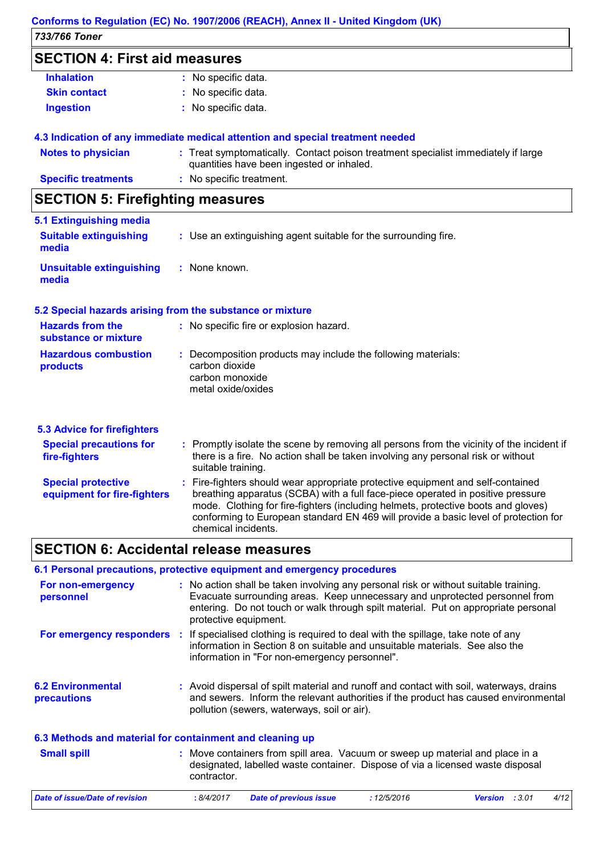#### *733/766 Toner* **Conforms to Regulation (EC) No. 1907/2006 (REACH), Annex II - United Kingdom (UK)**

### **SECTION 4: First aid measures**

| <b>Inhalation</b>   | : No specific data. |  |
|---------------------|---------------------|--|
| <b>Skin contact</b> | : No specific data. |  |
| <b>Ingestion</b>    | : No specific data. |  |

#### **4.3 Indication of any immediate medical attention and special treatment needed**

### **SECTION 5: Firefighting measures**

| 5.1 Extinguishing media                |                                                                 |  |
|----------------------------------------|-----------------------------------------------------------------|--|
| <b>Suitable extinguishing</b><br>media | : Use an extinguishing agent suitable for the surrounding fire. |  |
| Unsuitable extinguishing<br>media      | : None known.                                                   |  |

#### **5.2 Special hazards arising from the substance or mixture**

| <b>Hazards from the</b><br>substance or mixture | : No specific fire or explosion hazard.                                                                                  |
|-------------------------------------------------|--------------------------------------------------------------------------------------------------------------------------|
| <b>Hazardous combustion</b><br>products         | : Decomposition products may include the following materials:<br>carbon dioxide<br>carbon monoxide<br>metal oxide/oxides |

| 5.3 Advice for firefighters                              | : Promptly isolate the scene by removing all persons from the vicinity of the incident if                                                                                                                                                                                                                                                                             |
|----------------------------------------------------------|-----------------------------------------------------------------------------------------------------------------------------------------------------------------------------------------------------------------------------------------------------------------------------------------------------------------------------------------------------------------------|
| <b>Special precautions for</b>                           | there is a fire. No action shall be taken involving any personal risk or without                                                                                                                                                                                                                                                                                      |
| fire-fighters                                            | suitable training.                                                                                                                                                                                                                                                                                                                                                    |
| <b>Special protective</b><br>equipment for fire-fighters | : Fire-fighters should wear appropriate protective equipment and self-contained<br>breathing apparatus (SCBA) with a full face-piece operated in positive pressure<br>mode. Clothing for fire-fighters (including helmets, protective boots and gloves)<br>conforming to European standard EN 469 will provide a basic level of protection for<br>chemical incidents. |

### **SECTION 6: Accidental release measures**

#### **6.1 Personal precautions, protective equipment and emergency procedures**

| For non-emergency<br>personnel                           | : No action shall be taken involving any personal risk or without suitable training.<br>Evacuate surrounding areas. Keep unnecessary and unprotected personnel from<br>entering. Do not touch or walk through spilt material. Put on appropriate personal<br>protective equipment. |
|----------------------------------------------------------|------------------------------------------------------------------------------------------------------------------------------------------------------------------------------------------------------------------------------------------------------------------------------------|
| For emergency responders                                 | If specialised clothing is required to deal with the spillage, take note of any<br>information in Section 8 on suitable and unsuitable materials. See also the<br>information in "For non-emergency personnel".                                                                    |
| <b>6.2 Environmental</b><br>precautions                  | : Avoid dispersal of spilt material and runoff and contact with soil, waterways, drains<br>and sewers. Inform the relevant authorities if the product has caused environmental<br>pollution (sewers, waterways, soil or air).                                                      |
| 6.3 Methods and material for containment and cleaning up |                                                                                                                                                                                                                                                                                    |

| <b>Small spill</b>             | contractor. | : Move containers from spill area. Vacuum or sweep up material and place in a<br>designated, labelled waste container. Dispose of via a licensed waste disposal |            |                          |      |
|--------------------------------|-------------|-----------------------------------------------------------------------------------------------------------------------------------------------------------------|------------|--------------------------|------|
| Date of issue/Date of revision | : 8/4/2017  | Date of previous issue                                                                                                                                          | :12/5/2016 | : 3.01<br><b>Version</b> | 4/12 |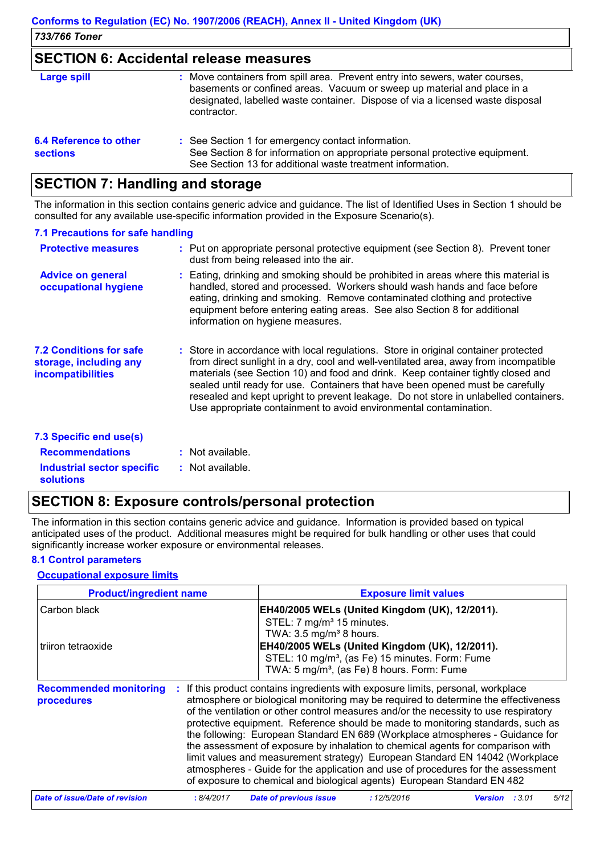#### **SECTION 6: Accidental release measures**

| <b>Large spill</b>                               | : Move containers from spill area. Prevent entry into sewers, water courses,<br>basements or confined areas. Vacuum or sweep up material and place in a<br>designated, labelled waste container. Dispose of via a licensed waste disposal<br>contractor. |
|--------------------------------------------------|----------------------------------------------------------------------------------------------------------------------------------------------------------------------------------------------------------------------------------------------------------|
| <b>6.4 Reference to other</b><br><b>sections</b> | : See Section 1 for emergency contact information.<br>See Section 8 for information on appropriate personal protective equipment.<br>See Section 13 for additional waste treatment information.                                                          |

### **SECTION 7: Handling and storage**

The information in this section contains generic advice and guidance. The list of Identified Uses in Section 1 should be consulted for any available use-specific information provided in the Exposure Scenario(s).

#### **7.1 Precautions for safe handling**

| <b>Protective measures</b>                                                    | : Put on appropriate personal protective equipment (see Section 8). Prevent toner<br>dust from being released into the air.                                                                                                                                                                                                                                                                                                                                                                                    |
|-------------------------------------------------------------------------------|----------------------------------------------------------------------------------------------------------------------------------------------------------------------------------------------------------------------------------------------------------------------------------------------------------------------------------------------------------------------------------------------------------------------------------------------------------------------------------------------------------------|
| <b>Advice on general</b><br>occupational hygiene                              | : Eating, drinking and smoking should be prohibited in areas where this material is<br>handled, stored and processed. Workers should wash hands and face before<br>eating, drinking and smoking. Remove contaminated clothing and protective<br>equipment before entering eating areas. See also Section 8 for additional<br>information on hygiene measures.                                                                                                                                                  |
| <b>7.2 Conditions for safe</b><br>storage, including any<br>incompatibilities | : Store in accordance with local regulations. Store in original container protected<br>from direct sunlight in a dry, cool and well-ventilated area, away from incompatible<br>materials (see Section 10) and food and drink. Keep container tightly closed and<br>sealed until ready for use. Containers that have been opened must be carefully<br>resealed and kept upright to prevent leakage. Do not store in unlabelled containers.<br>Use appropriate containment to avoid environmental contamination. |
| 7.3 Specific end use(s)                                                       |                                                                                                                                                                                                                                                                                                                                                                                                                                                                                                                |
| <b>Recommendations</b>                                                        | : Not available.                                                                                                                                                                                                                                                                                                                                                                                                                                                                                               |
| <b>Industrial sector specific</b><br><b>solutions</b>                         | : Not available.                                                                                                                                                                                                                                                                                                                                                                                                                                                                                               |

### **SECTION 8: Exposure controls/personal protection**

The information in this section contains generic advice and guidance. Information is provided based on typical anticipated uses of the product. Additional measures might be required for bulk handling or other uses that could significantly increase worker exposure or environmental releases.

#### **8.1 Control parameters**

#### **Occupational exposure limits**

| <b>Product/ingredient name</b>              |            | <b>Exposure limit values</b>                                                                                                                                                                                                                                                                                                                                                                                                                                                                                                                                                                                                                                                                                                                                       |             |                |  |      |
|---------------------------------------------|------------|--------------------------------------------------------------------------------------------------------------------------------------------------------------------------------------------------------------------------------------------------------------------------------------------------------------------------------------------------------------------------------------------------------------------------------------------------------------------------------------------------------------------------------------------------------------------------------------------------------------------------------------------------------------------------------------------------------------------------------------------------------------------|-------------|----------------|--|------|
| Carbon black                                |            | EH40/2005 WELs (United Kingdom (UK), 12/2011).<br>STEL: 7 mg/m <sup>3</sup> 15 minutes.                                                                                                                                                                                                                                                                                                                                                                                                                                                                                                                                                                                                                                                                            |             |                |  |      |
| triiron tetraoxide                          |            | TWA: $3.5 \text{ mg/m}^3$ 8 hours.<br>EH40/2005 WELs (United Kingdom (UK), 12/2011).<br>STEL: 10 mg/m <sup>3</sup> , (as Fe) 15 minutes. Form: Fume<br>TWA: 5 mg/m <sup>3</sup> , (as Fe) 8 hours. Form: Fume                                                                                                                                                                                                                                                                                                                                                                                                                                                                                                                                                      |             |                |  |      |
| <b>Recommended monitoring</b><br>procedures |            | If this product contains ingredients with exposure limits, personal, workplace<br>atmosphere or biological monitoring may be required to determine the effectiveness<br>of the ventilation or other control measures and/or the necessity to use respiratory<br>protective equipment. Reference should be made to monitoring standards, such as<br>the following: European Standard EN 689 (Workplace atmospheres - Guidance for<br>the assessment of exposure by inhalation to chemical agents for comparison with<br>limit values and measurement strategy) European Standard EN 14042 (Workplace<br>atmospheres - Guide for the application and use of procedures for the assessment<br>of exposure to chemical and biological agents) European Standard EN 482 |             |                |  |      |
| <b>Date of issue/Date of revision</b>       | : 8/4/2017 | <b>Date of previous issue</b>                                                                                                                                                                                                                                                                                                                                                                                                                                                                                                                                                                                                                                                                                                                                      | : 12/5/2016 | Version : 3.01 |  | 5/12 |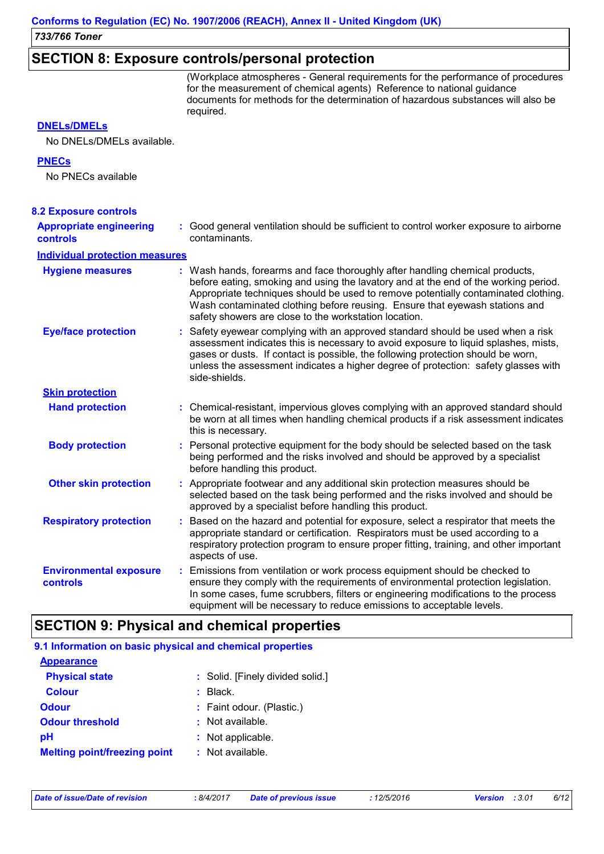### **SECTION 8: Exposure controls/personal protection**

(Workplace atmospheres - General requirements for the performance of procedures for the measurement of chemical agents) Reference to national guidance documents for methods for the determination of hazardous substances will also be required.

#### **DNELs/DMELs**

No DNELs/DMELs available.

#### **PNECs**

No PNECs available

| <b>8.2 Exposure controls</b>                      |                                                                                                                                                                                                                                                                                                                                                                                                   |  |
|---------------------------------------------------|---------------------------------------------------------------------------------------------------------------------------------------------------------------------------------------------------------------------------------------------------------------------------------------------------------------------------------------------------------------------------------------------------|--|
| <b>Appropriate engineering</b><br><b>controls</b> | : Good general ventilation should be sufficient to control worker exposure to airborne<br>contaminants.                                                                                                                                                                                                                                                                                           |  |
| <b>Individual protection measures</b>             |                                                                                                                                                                                                                                                                                                                                                                                                   |  |
| <b>Hygiene measures</b>                           | : Wash hands, forearms and face thoroughly after handling chemical products,<br>before eating, smoking and using the lavatory and at the end of the working period.<br>Appropriate techniques should be used to remove potentially contaminated clothing.<br>Wash contaminated clothing before reusing. Ensure that eyewash stations and<br>safety showers are close to the workstation location. |  |
| <b>Eye/face protection</b>                        | : Safety eyewear complying with an approved standard should be used when a risk<br>assessment indicates this is necessary to avoid exposure to liquid splashes, mists,<br>gases or dusts. If contact is possible, the following protection should be worn,<br>unless the assessment indicates a higher degree of protection: safety glasses with<br>side-shields.                                 |  |
| <b>Skin protection</b>                            |                                                                                                                                                                                                                                                                                                                                                                                                   |  |
| <b>Hand protection</b>                            | : Chemical-resistant, impervious gloves complying with an approved standard should<br>be worn at all times when handling chemical products if a risk assessment indicates<br>this is necessary.                                                                                                                                                                                                   |  |
| <b>Body protection</b>                            | : Personal protective equipment for the body should be selected based on the task<br>being performed and the risks involved and should be approved by a specialist<br>before handling this product.                                                                                                                                                                                               |  |
| <b>Other skin protection</b>                      | : Appropriate footwear and any additional skin protection measures should be<br>selected based on the task being performed and the risks involved and should be<br>approved by a specialist before handling this product.                                                                                                                                                                         |  |
| <b>Respiratory protection</b>                     | : Based on the hazard and potential for exposure, select a respirator that meets the<br>appropriate standard or certification. Respirators must be used according to a<br>respiratory protection program to ensure proper fitting, training, and other important<br>aspects of use.                                                                                                               |  |
| <b>Environmental exposure</b><br>controls         | : Emissions from ventilation or work process equipment should be checked to<br>ensure they comply with the requirements of environmental protection legislation.<br>In some cases, fume scrubbers, filters or engineering modifications to the process<br>equipment will be necessary to reduce emissions to acceptable levels.                                                                   |  |

### **SECTION 9: Physical and chemical properties**

| 9.1 Information on basic physical and chemical properties |                                  |
|-----------------------------------------------------------|----------------------------------|
| <b>Appearance</b>                                         |                                  |
| <b>Physical state</b>                                     | : Solid. [Finely divided solid.] |
| <b>Colour</b>                                             | $:$ Black.                       |
| <b>Odour</b>                                              | : Faint odour. (Plastic.)        |
| <b>Odour threshold</b>                                    | : Not available.                 |
| рH                                                        | : Not applicable.                |
| <b>Melting point/freezing point</b>                       | $:$ Not available.               |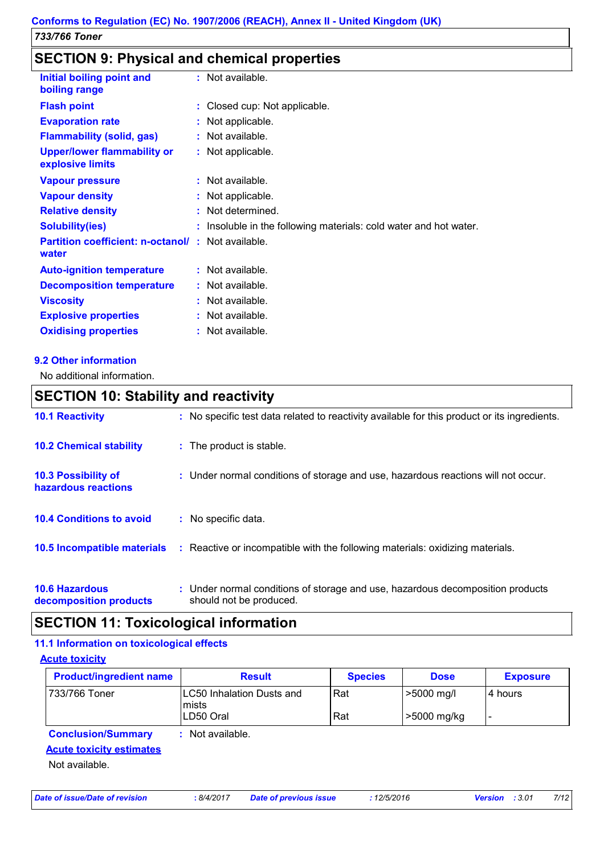### **SECTION 9: Physical and chemical properties**

| Initial boiling point and<br>boiling range                        | $:$ Not available.                                                |
|-------------------------------------------------------------------|-------------------------------------------------------------------|
| <b>Flash point</b>                                                | : Closed cup: Not applicable.                                     |
| <b>Evaporation rate</b>                                           | : Not applicable.                                                 |
| <b>Flammability (solid, gas)</b>                                  | $:$ Not available.                                                |
| <b>Upper/lower flammability or</b><br>explosive limits            | : Not applicable.                                                 |
| <b>Vapour pressure</b>                                            | $:$ Not available.                                                |
| <b>Vapour density</b>                                             | : Not applicable.                                                 |
| <b>Relative density</b>                                           | : Not determined.                                                 |
| <b>Solubility(ies)</b>                                            | : Insoluble in the following materials: cold water and hot water. |
| <b>Partition coefficient: n-octanol/: Not available.</b><br>water |                                                                   |
| <b>Auto-ignition temperature</b>                                  | $:$ Not available.                                                |
| <b>Decomposition temperature</b>                                  | $:$ Not available.                                                |
| <b>Viscosity</b>                                                  | $:$ Not available.                                                |
| <b>Explosive properties</b>                                       | $:$ Not available.                                                |
| <b>Oxidising properties</b>                                       | $:$ Not available.                                                |

#### **9.2 Other information**

No additional information.

### **10.6 Hazardous decomposition products 10.4 Conditions to avoid :** Under normal conditions of storage and use, hazardous decomposition products should not be produced. **10.2 Chemical stability :** The product is stable. : No specific data. **10.5 Incompatible materials : 10.3 Possibility of hazardous reactions :** Under normal conditions of storage and use, hazardous reactions will not occur. **SECTION 10: Stability and reactivity 10.1 Reactivity :** No specific test data related to reactivity available for this product or its ingredients. Reactive or incompatible with the following materials: oxidizing materials.

### **SECTION 11: Toxicological information**

#### **11.1 Information on toxicological effects**

**Acute toxicity**

| <b>Product/ingredient name</b> | <b>Result</b>                              | <b>Species</b> | <b>Dose</b> | <b>Exposure</b> |
|--------------------------------|--------------------------------------------|----------------|-------------|-----------------|
| 733/766 Toner                  | <b>LC50 Inhalation Dusts and</b><br>lmists | Rat            | >5000 mg/l  | l 4 hours       |
|                                | LD50 Oral                                  | Rat            | >5000 mg/kg |                 |
| <b>Conclusion/Summary</b>      | : Not available.                           |                |             |                 |

#### **Acute toxicity estimates**

Not available.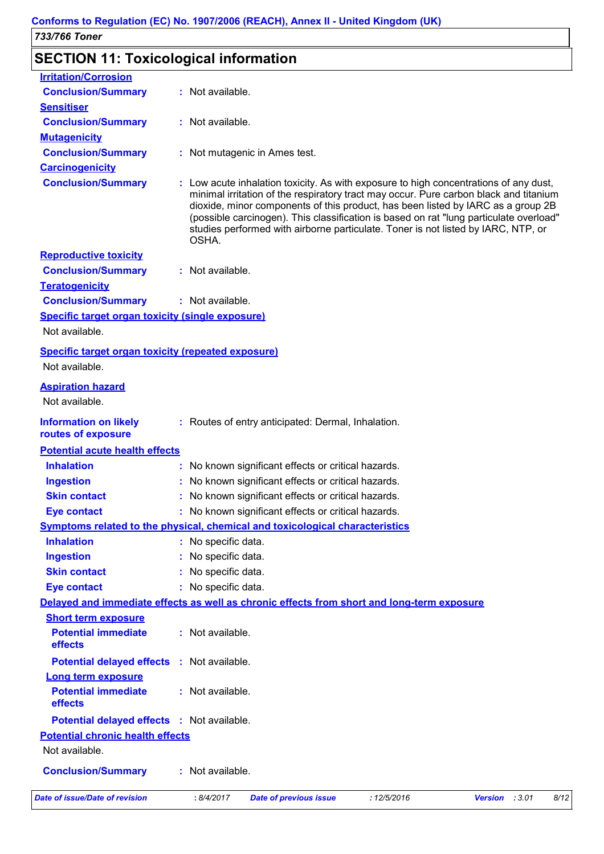# **SECTION 11: Toxicological information**

| <b>Irritation/Corrosion</b>                                                                |                     |                                                                                                                                                                                                                                                                                                                                                                                                                                                   |             |                |      |
|--------------------------------------------------------------------------------------------|---------------------|---------------------------------------------------------------------------------------------------------------------------------------------------------------------------------------------------------------------------------------------------------------------------------------------------------------------------------------------------------------------------------------------------------------------------------------------------|-------------|----------------|------|
| <b>Conclusion/Summary</b>                                                                  | : Not available.    |                                                                                                                                                                                                                                                                                                                                                                                                                                                   |             |                |      |
| <b>Sensitiser</b>                                                                          |                     |                                                                                                                                                                                                                                                                                                                                                                                                                                                   |             |                |      |
| <b>Conclusion/Summary</b>                                                                  | : Not available.    |                                                                                                                                                                                                                                                                                                                                                                                                                                                   |             |                |      |
| <b>Mutagenicity</b>                                                                        |                     |                                                                                                                                                                                                                                                                                                                                                                                                                                                   |             |                |      |
| <b>Conclusion/Summary</b>                                                                  |                     | : Not mutagenic in Ames test.                                                                                                                                                                                                                                                                                                                                                                                                                     |             |                |      |
| <b>Carcinogenicity</b>                                                                     |                     |                                                                                                                                                                                                                                                                                                                                                                                                                                                   |             |                |      |
| <b>Conclusion/Summary</b>                                                                  | OSHA.               | : Low acute inhalation toxicity. As with exposure to high concentrations of any dust,<br>minimal irritation of the respiratory tract may occur. Pure carbon black and titanium<br>dioxide, minor components of this product, has been listed by IARC as a group 2B<br>(possible carcinogen). This classification is based on rat "lung particulate overload"<br>studies performed with airborne particulate. Toner is not listed by IARC, NTP, or |             |                |      |
| <b>Reproductive toxicity</b>                                                               |                     |                                                                                                                                                                                                                                                                                                                                                                                                                                                   |             |                |      |
| <b>Conclusion/Summary</b>                                                                  | : Not available.    |                                                                                                                                                                                                                                                                                                                                                                                                                                                   |             |                |      |
| <b>Teratogenicity</b>                                                                      |                     |                                                                                                                                                                                                                                                                                                                                                                                                                                                   |             |                |      |
| <b>Conclusion/Summary</b>                                                                  | : Not available.    |                                                                                                                                                                                                                                                                                                                                                                                                                                                   |             |                |      |
| <b>Specific target organ toxicity (single exposure)</b>                                    |                     |                                                                                                                                                                                                                                                                                                                                                                                                                                                   |             |                |      |
| Not available.                                                                             |                     |                                                                                                                                                                                                                                                                                                                                                                                                                                                   |             |                |      |
| <b>Specific target organ toxicity (repeated exposure)</b>                                  |                     |                                                                                                                                                                                                                                                                                                                                                                                                                                                   |             |                |      |
| Not available.                                                                             |                     |                                                                                                                                                                                                                                                                                                                                                                                                                                                   |             |                |      |
| <b>Aspiration hazard</b>                                                                   |                     |                                                                                                                                                                                                                                                                                                                                                                                                                                                   |             |                |      |
| Not available.                                                                             |                     |                                                                                                                                                                                                                                                                                                                                                                                                                                                   |             |                |      |
| <b>Information on likely</b>                                                               |                     | : Routes of entry anticipated: Dermal, Inhalation.                                                                                                                                                                                                                                                                                                                                                                                                |             |                |      |
| routes of exposure                                                                         |                     |                                                                                                                                                                                                                                                                                                                                                                                                                                                   |             |                |      |
| <b>Potential acute health effects</b>                                                      |                     |                                                                                                                                                                                                                                                                                                                                                                                                                                                   |             |                |      |
| <b>Inhalation</b>                                                                          |                     | No known significant effects or critical hazards.                                                                                                                                                                                                                                                                                                                                                                                                 |             |                |      |
| <b>Ingestion</b>                                                                           |                     | No known significant effects or critical hazards.                                                                                                                                                                                                                                                                                                                                                                                                 |             |                |      |
| <b>Skin contact</b>                                                                        |                     | No known significant effects or critical hazards.                                                                                                                                                                                                                                                                                                                                                                                                 |             |                |      |
| <b>Eye contact</b>                                                                         |                     | No known significant effects or critical hazards.                                                                                                                                                                                                                                                                                                                                                                                                 |             |                |      |
| <b>Symptoms related to the physical, chemical and toxicological characteristics</b>        |                     |                                                                                                                                                                                                                                                                                                                                                                                                                                                   |             |                |      |
| <b>Inhalation</b>                                                                          | : No specific data. |                                                                                                                                                                                                                                                                                                                                                                                                                                                   |             |                |      |
| <b>Ingestion</b>                                                                           | No specific data.   |                                                                                                                                                                                                                                                                                                                                                                                                                                                   |             |                |      |
| <b>Skin contact</b>                                                                        | : No specific data. |                                                                                                                                                                                                                                                                                                                                                                                                                                                   |             |                |      |
| <b>Eye contact</b>                                                                         | No specific data.   |                                                                                                                                                                                                                                                                                                                                                                                                                                                   |             |                |      |
| Delayed and immediate effects as well as chronic effects from short and long-term exposure |                     |                                                                                                                                                                                                                                                                                                                                                                                                                                                   |             |                |      |
| <b>Short term exposure</b>                                                                 |                     |                                                                                                                                                                                                                                                                                                                                                                                                                                                   |             |                |      |
| <b>Potential immediate</b><br>effects                                                      | : Not available.    |                                                                                                                                                                                                                                                                                                                                                                                                                                                   |             |                |      |
| Potential delayed effects : Not available.                                                 |                     |                                                                                                                                                                                                                                                                                                                                                                                                                                                   |             |                |      |
| <b>Long term exposure</b>                                                                  |                     |                                                                                                                                                                                                                                                                                                                                                                                                                                                   |             |                |      |
| <b>Potential immediate</b><br>effects                                                      | : Not available.    |                                                                                                                                                                                                                                                                                                                                                                                                                                                   |             |                |      |
| <b>Potential delayed effects : Not available.</b>                                          |                     |                                                                                                                                                                                                                                                                                                                                                                                                                                                   |             |                |      |
| <b>Potential chronic health effects</b>                                                    |                     |                                                                                                                                                                                                                                                                                                                                                                                                                                                   |             |                |      |
| Not available.                                                                             |                     |                                                                                                                                                                                                                                                                                                                                                                                                                                                   |             |                |      |
| <b>Conclusion/Summary</b>                                                                  | : Not available.    |                                                                                                                                                                                                                                                                                                                                                                                                                                                   |             |                |      |
| Date of issue/Date of revision                                                             | : 8/4/2017          | <b>Date of previous issue</b>                                                                                                                                                                                                                                                                                                                                                                                                                     | : 12/5/2016 | Version : 3.01 | 8/12 |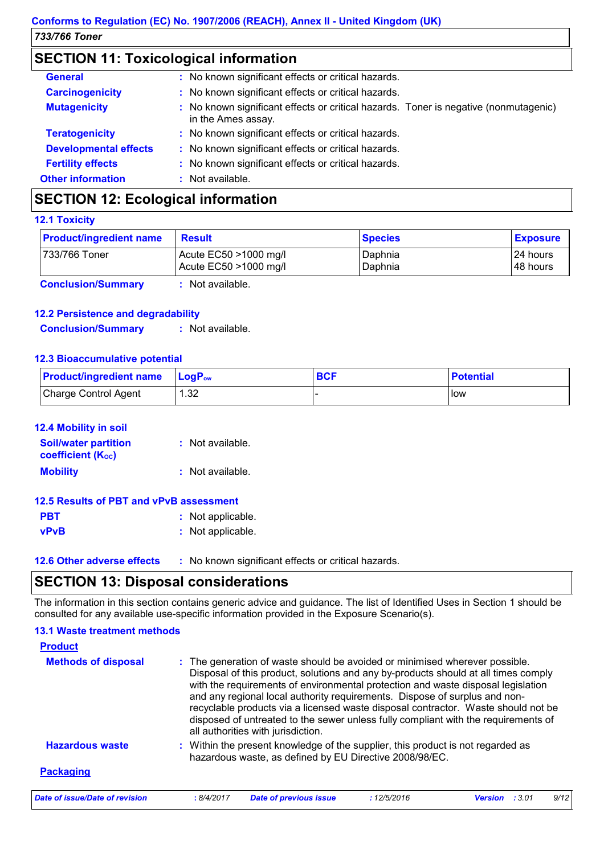# **SECTION 11: Toxicological information**

| <b>General</b>               | : No known significant effects or critical hazards.                                                        |
|------------------------------|------------------------------------------------------------------------------------------------------------|
| <b>Carcinogenicity</b>       | : No known significant effects or critical hazards.                                                        |
| <b>Mutagenicity</b>          | : No known significant effects or critical hazards. Toner is negative (nonmutagenic)<br>in the Ames assay. |
| <b>Teratogenicity</b>        | : No known significant effects or critical hazards.                                                        |
| <b>Developmental effects</b> | : No known significant effects or critical hazards.                                                        |
| <b>Fertility effects</b>     | : No known significant effects or critical hazards.                                                        |
| <b>Other information</b>     | : Not available.                                                                                           |

## **SECTION 12: Ecological information**

#### **12.1 Toxicity**

| <b>Product/ingredient name</b> | <b>Result</b>                                  | <b>Species</b>     | <b>Exposure</b>       |
|--------------------------------|------------------------------------------------|--------------------|-----------------------|
| 733/766 Toner                  | Acute EC50 >1000 mg/l<br>Acute EC50 >1000 mg/l | Daphnia<br>Daphnia | 24 hours<br>148 hours |
| <b>Conclusion/Summary</b>      | Not available.                                 |                    |                       |

#### **12.2 Persistence and degradability**

**Conclusion/Summary :** Not available.

#### **12.3 Bioaccumulative potential**

| <b>Product/ingredient name</b> | $\mathsf{LogP}_\mathsf{ow}$ | <b>BCF</b> | <b>Potential</b> |
|--------------------------------|-----------------------------|------------|------------------|
| Charge Control Agent           | 1.32                        |            | l low            |

| <b>12.4 Mobility in soil</b>                            |                    |
|---------------------------------------------------------|--------------------|
| <b>Soil/water partition</b><br><b>coefficient (Koc)</b> | : Not available.   |
| <b>Mobility</b>                                         | $:$ Not available. |

#### **12.5 Results of PBT and vPvB assessment**

| <b>PBT</b>  | : Not applicable. |
|-------------|-------------------|
| <b>vPvB</b> | : Not applicable. |

**12.6 Other adverse effects** : No known significant effects or critical hazards.

### **SECTION 13: Disposal considerations**

The information in this section contains generic advice and guidance. The list of Identified Uses in Section 1 should be consulted for any available use-specific information provided in the Exposure Scenario(s).

#### **13.1 Waste treatment methods**

| <b>Product</b>                 |            |                                                                                                                                                                                                                                                                                     |            |                                                                                                                                                                                                                                                               |      |
|--------------------------------|------------|-------------------------------------------------------------------------------------------------------------------------------------------------------------------------------------------------------------------------------------------------------------------------------------|------------|---------------------------------------------------------------------------------------------------------------------------------------------------------------------------------------------------------------------------------------------------------------|------|
| <b>Methods of disposal</b>     |            | : The generation of waste should be avoided or minimised wherever possible.<br>with the requirements of environmental protection and waste disposal legislation<br>and any regional local authority requirements. Dispose of surplus and non-<br>all authorities with jurisdiction. |            | Disposal of this product, solutions and any by-products should at all times comply<br>recyclable products via a licensed waste disposal contractor. Waste should not be<br>disposed of untreated to the sewer unless fully compliant with the requirements of |      |
| <b>Hazardous waste</b>         |            | : Within the present knowledge of the supplier, this product is not regarded as<br>hazardous waste, as defined by EU Directive 2008/98/EC.                                                                                                                                          |            |                                                                                                                                                                                                                                                               |      |
| <b>Packaging</b>               |            |                                                                                                                                                                                                                                                                                     |            |                                                                                                                                                                                                                                                               |      |
| Date of issue/Date of revision | : 8/4/2017 | <b>Date of previous issue</b>                                                                                                                                                                                                                                                       | :12/5/2016 | <b>Version</b> : 3.01                                                                                                                                                                                                                                         | 9/12 |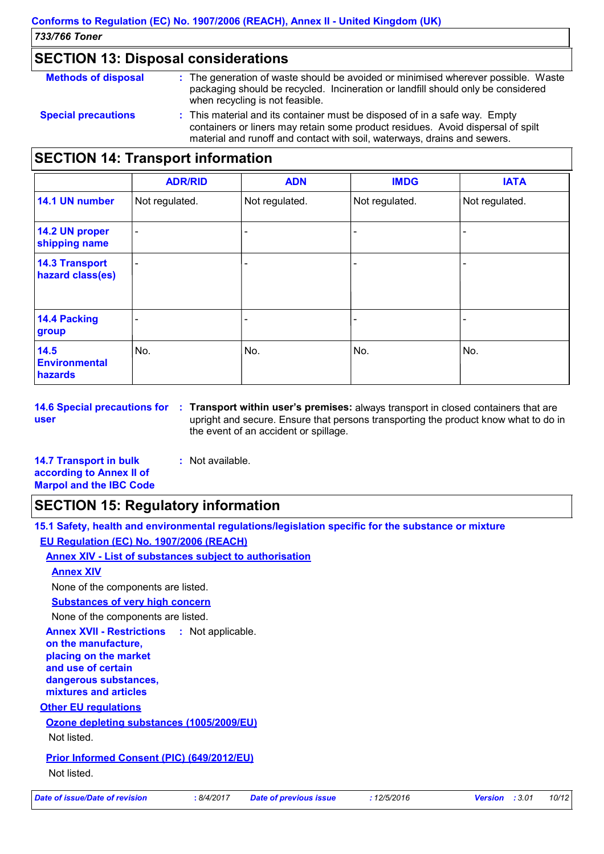### **SECTION 13: Disposal considerations**

| <b>Methods of disposal</b> | : The generation of waste should be avoided or minimised wherever possible. Waste<br>packaging should be recycled. Incineration or landfill should only be considered<br>when recycling is not feasible.                                  |
|----------------------------|-------------------------------------------------------------------------------------------------------------------------------------------------------------------------------------------------------------------------------------------|
| <b>Special precautions</b> | : This material and its container must be disposed of in a safe way. Empty<br>containers or liners may retain some product residues. Avoid dispersal of spilt<br>material and runoff and contact with soil, waterways, drains and sewers. |

### **SECTION 14: Transport information**

|                                           | <b>ADR/RID</b>           | <b>ADN</b>     | <b>IMDG</b>    | <b>IATA</b>    |
|-------------------------------------------|--------------------------|----------------|----------------|----------------|
| 14.1 UN number                            | Not regulated.           | Not regulated. | Not regulated. | Not regulated. |
| 14.2 UN proper<br>shipping name           | -                        |                |                |                |
| <b>14.3 Transport</b><br>hazard class(es) | $\overline{\phantom{0}}$ |                |                |                |
| <b>14.4 Packing</b><br>group              |                          |                |                |                |
| 14.5<br><b>Environmental</b><br>hazards   | No.                      | No.            | No.            | No.            |

**user**

**14.6 Special precautions for : Transport within user's premises:** always transport in closed containers that are upright and secure. Ensure that persons transporting the product know what to do in the event of an accident or spillage.

| <b>14.7 Transport in bulk</b>  | : Not available. |
|--------------------------------|------------------|
| according to Annex II of       |                  |
| <b>Marpol and the IBC Code</b> |                  |

# **SECTION 15: Regulatory information**

**15.1 Safety, health and environmental regulations/legislation specific for the substance or mixture EU Regulation (EC) No. 1907/2006 (REACH)**

**Annex XIV - List of substances subject to authorisation**

#### **Annex XIV**

None of the components are listed.

**Substances of very high concern**

None of the components are listed.

**Annex XVII - Restrictions : Not applicable.** 

**on the manufacture, placing on the market** 

**and use of certain dangerous substances,**

**mixtures and articles**

#### **Other EU regulations**

#### **Ozone depleting substances (1005/2009/EU)**

Not listed.

#### **Prior Informed Consent (PIC) (649/2012/EU)**

Not listed.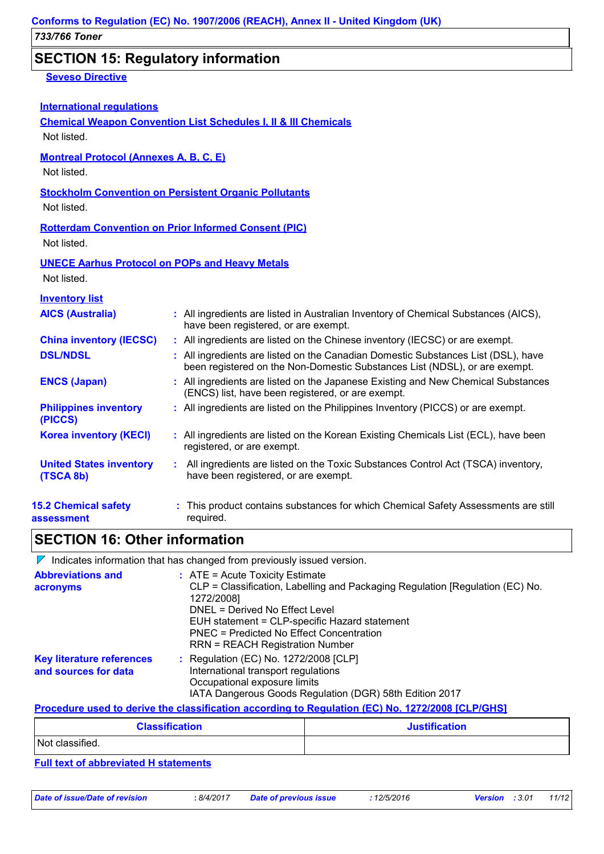### **SECTION 15: Regulatory information**

#### **Seveso Directive**

| <b>International requlations</b> |  |
|----------------------------------|--|
|                                  |  |

**Chemical Weapon Convention List Schedules I, II & III Chemicals**

Not listed.

#### **Montreal Protocol (Annexes A, B, C, E)**

Not listed.

#### **Stockholm Convention on Persistent Organic Pollutants**

Not listed.

#### **Rotterdam Convention on Prior Informed Consent (PIC)**

Not listed.

#### **UNECE Aarhus Protocol on POPs and Heavy Metals**

Not listed.

| <b>Inventory list</b>                       |                                                                                                                                                                 |
|---------------------------------------------|-----------------------------------------------------------------------------------------------------------------------------------------------------------------|
| <b>AICS (Australia)</b>                     | : All ingredients are listed in Australian Inventory of Chemical Substances (AICS),<br>have been registered, or are exempt.                                     |
| <b>China inventory (IECSC)</b>              | : All ingredients are listed on the Chinese inventory (IECSC) or are exempt.                                                                                    |
| <b>DSL/NDSL</b>                             | : All ingredients are listed on the Canadian Domestic Substances List (DSL), have<br>been registered on the Non-Domestic Substances List (NDSL), or are exempt. |
| <b>ENCS (Japan)</b>                         | : All ingredients are listed on the Japanese Existing and New Chemical Substances<br>(ENCS) list, have been registered, or are exempt.                          |
| <b>Philippines inventory</b><br>(PICCS)     | : All ingredients are listed on the Philippines Inventory (PICCS) or are exempt.                                                                                |
| <b>Korea inventory (KECI)</b>               | : All ingredients are listed on the Korean Existing Chemicals List (ECL), have been<br>registered, or are exempt.                                               |
| <b>United States inventory</b><br>(TSCA 8b) | : All ingredients are listed on the Toxic Substances Control Act (TSCA) inventory,<br>have been registered, or are exempt.                                      |
| <b>15.2 Chemical safety</b><br>assessment   | : This product contains substances for which Chemical Safety Assessments are still<br>required.                                                                 |

# **SECTION 16: Other information**

 $\nabla$  Indicates information that has changed from previously issued version.

| <b>Abbreviations and</b><br>acronyms                     | $:$ ATE = Acute Toxicity Estimate<br>CLP = Classification, Labelling and Packaging Regulation [Regulation (EC) No.<br>1272/2008]<br>DNEL = Derived No Effect Level<br>EUH statement = CLP-specific Hazard statement<br>PNEC = Predicted No Effect Concentration<br><b>RRN = REACH Registration Number</b> |
|----------------------------------------------------------|-----------------------------------------------------------------------------------------------------------------------------------------------------------------------------------------------------------------------------------------------------------------------------------------------------------|
| <b>Key literature references</b><br>and sources for data | : Regulation (EC) No. 1272/2008 [CLP]<br>International transport regulations<br>Occupational exposure limits<br>IATA Dangerous Goods Regulation (DGR) 58th Edition 2017                                                                                                                                   |

#### **Procedure used to derive the classification according to Regulation (EC) No. 1272/2008 [CLP/GHS]**

| <b>Classification</b> | <b>Justification</b> |
|-----------------------|----------------------|
| Not classified.       |                      |

#### **Full text of abbreviated H statements**

*Date of issue/Date of revision* **:** *8/4/2017 Date of previous issue : 12/5/2016 Version : 3.01 11/12*